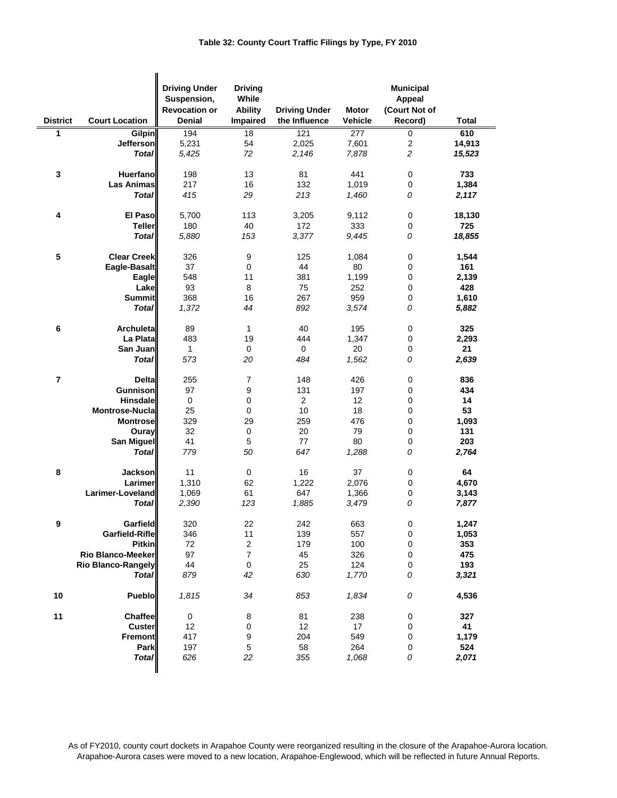## **Table 32: County Court Traffic Filings by Type, FY 2010**

| <b>District</b> | <b>Court Location</b>     | <b>Driving Under</b><br>Suspension,<br><b>Revocation or</b><br><b>Denial</b> | <b>Driving</b><br>While<br><b>Ability</b><br>Impaired | <b>Driving Under</b><br>the Influence | <b>Motor</b><br>Vehicle | <b>Municipal</b><br><b>Appeal</b><br>(Court Not of<br>Record) | <b>Total</b> |
|-----------------|---------------------------|------------------------------------------------------------------------------|-------------------------------------------------------|---------------------------------------|-------------------------|---------------------------------------------------------------|--------------|
| 1               | <b>Gilpin</b>             | 194                                                                          | 18                                                    | 121                                   | 277                     | $\overline{0}$                                                | 610          |
|                 | Jefferson                 | 5,231                                                                        | 54                                                    | 2,025                                 | 7,601                   | $\overline{\mathbf{c}}$                                       | 14,913       |
|                 | <b>Total</b>              | 5,425                                                                        | 72                                                    | 2,146                                 | 7,878                   | $\sqrt{2}$                                                    | 15,523       |
|                 |                           |                                                                              |                                                       |                                       |                         |                                                               |              |
| $\mathbf 3$     | Huerfano                  | 198                                                                          | 13                                                    | 81                                    | 441                     | $\pmb{0}$                                                     | 733          |
|                 | <b>Las Animas</b>         | 217                                                                          | 16                                                    | 132                                   | 1,019                   | $\pmb{0}$                                                     | 1,384        |
|                 | <b>Total</b>              | 415                                                                          | 29                                                    | 213                                   | 1,460                   | 0                                                             | 2,117        |
|                 |                           |                                                                              |                                                       |                                       |                         |                                                               |              |
| 4               | <b>El Paso</b>            | 5,700                                                                        | 113                                                   | 3,205                                 | 9,112                   | $\pmb{0}$                                                     | 18,130       |
|                 | <b>Teller</b>             | 180                                                                          | 40                                                    | 172                                   | 333                     | $\pmb{0}$                                                     | 725          |
|                 | <b>Total</b>              | 5,880                                                                        | 153                                                   | 3,377                                 | 9,445                   | 0                                                             | 18,855       |
|                 |                           |                                                                              |                                                       |                                       |                         |                                                               |              |
| 5               | <b>Clear Creek</b>        | 326                                                                          | $\boldsymbol{9}$                                      | 125                                   | 1,084                   | $\pmb{0}$                                                     | 1,544        |
|                 | Eagle-Basalt              | 37                                                                           | 0                                                     | 44                                    | 80                      | 0                                                             | 161          |
|                 | Eagle                     | 548                                                                          | 11                                                    | 381                                   | 1,199                   | 0                                                             | 2,139        |
|                 | Lake                      | 93                                                                           | 8                                                     | 75                                    | 252                     | $\pmb{0}$                                                     | 428          |
|                 | <b>Summit</b>             | 368                                                                          | 16                                                    | 267                                   | 959                     | $\pmb{0}$                                                     | 1,610        |
|                 | <b>Total</b>              | 1,372                                                                        | 44                                                    | 892                                   | 3,574                   | 0                                                             | 5,882        |
|                 |                           |                                                                              |                                                       |                                       |                         |                                                               |              |
| 6               | <b>Archuleta</b>          | 89                                                                           | 1                                                     | 40                                    | 195                     | $\pmb{0}$                                                     | 325          |
|                 | La Plata                  | 483                                                                          | 19                                                    | 444                                   | 1,347                   | 0                                                             | 2,293        |
|                 | San Juan                  | $\mathbf{1}$                                                                 | $\pmb{0}$                                             | 0                                     | 20                      | $\pmb{0}$                                                     | 21           |
|                 | <b>Total</b>              | 573                                                                          | 20                                                    | 484                                   | 1,562                   | ${\cal O}$                                                    | 2,639        |
|                 |                           |                                                                              |                                                       |                                       |                         |                                                               |              |
| $\overline{7}$  | Delta                     | 255                                                                          | 7                                                     | 148                                   | 426                     | 0                                                             | 836          |
|                 | <b>Gunnison</b>           | 97                                                                           | 9                                                     | 131                                   | 197                     | $\pmb{0}$                                                     | 434          |
|                 | <b>Hinsdale</b>           | $\pmb{0}$                                                                    | 0                                                     | $\boldsymbol{2}$                      | 12                      | 0                                                             | 14           |
|                 | <b>Montrose-Nucla</b>     | 25                                                                           | 0                                                     | 10                                    | 18                      | 0                                                             | 53           |
|                 | <b>Montrose</b>           | 329                                                                          | 29                                                    | 259                                   | 476                     | $\pmb{0}$                                                     | 1,093        |
|                 | Ouray                     | 32                                                                           | $\mathbf 0$                                           | 20                                    | 79                      | 0                                                             | 131          |
|                 | San Miguel                | 41                                                                           | $\sqrt{5}$                                            | 77                                    | 80                      | 0                                                             | 203          |
|                 | <b>Total</b>              | 779                                                                          | 50                                                    | 647                                   | 1,288                   | 0                                                             | 2,764        |
|                 |                           |                                                                              |                                                       |                                       |                         |                                                               |              |
| 8               | Jackson                   | 11                                                                           | $\mathbf 0$                                           | 16                                    | 37                      | $\pmb{0}$                                                     | 64           |
|                 | Larimer                   | 1,310                                                                        | 62                                                    | 1,222                                 | 2,076                   | $\mathbf 0$                                                   | 4,670        |
|                 | Larimer-Loveland          | 1,069                                                                        | 61                                                    | 647                                   | 1,366                   | $\pmb{0}$                                                     | 3,143        |
|                 | <b>Total</b>              | 2,390                                                                        | 123                                                   | 1,885                                 | 3,479                   | 0                                                             | 7,877        |
|                 |                           |                                                                              |                                                       |                                       |                         |                                                               |              |
| ¥               | Garfield                  | 320                                                                          | 22                                                    | 242                                   | 663                     | $\pmb{0}$                                                     | 1,247        |
|                 | Garfield-Rifle            | 346                                                                          | 11                                                    | 139                                   | 557                     | 0                                                             | 1,053        |
|                 | <b>Pitkin</b>             | 72                                                                           | $\overline{c}$                                        | 179                                   | 100                     | 0                                                             | 353          |
|                 | <b>Rio Blanco-Meeker</b>  | 97                                                                           | $\boldsymbol{7}$                                      | 45                                    | 326                     | 0                                                             | 475          |
|                 | <b>Rio Blanco-Rangely</b> | 44                                                                           | $\mathbf 0$                                           | 25                                    | 124                     | 0                                                             | 193          |
|                 | <b>Total</b>              | 879                                                                          | 42                                                    | 630                                   | 1,770                   | 0                                                             | 3,321        |
|                 |                           |                                                                              |                                                       |                                       |                         |                                                               |              |
| 10              | Pueblo                    | 1,815                                                                        | 34                                                    | 853                                   | 1,834                   | ${\cal O}$                                                    | 4,536        |
| 11              | Chaffee                   | 0                                                                            | 8                                                     | 81                                    | 238                     | 0                                                             | 327          |
|                 | <b>Custer</b>             | 12                                                                           | $\pmb{0}$                                             | 12                                    | 17                      | 0                                                             | 41           |
|                 | Fremont                   | 417                                                                          | 9                                                     | 204                                   | 549                     | 0                                                             | 1,179        |
|                 | Park                      | 197                                                                          | $\,$ 5 $\,$                                           | 58                                    | 264                     | 0                                                             | 524          |
|                 | <b>Total</b>              | 626                                                                          | 22                                                    | 355                                   | 1,068                   | 0                                                             | 2,071        |
|                 |                           |                                                                              |                                                       |                                       |                         |                                                               |              |

As of FY2010, county court dockets in Arapahoe County were reorganized resulting in the closure of the Arapahoe-Aurora location. Arapahoe-Aurora cases were moved to a new location, Arapahoe-Englewood, which will be reflected in future Annual Reports.